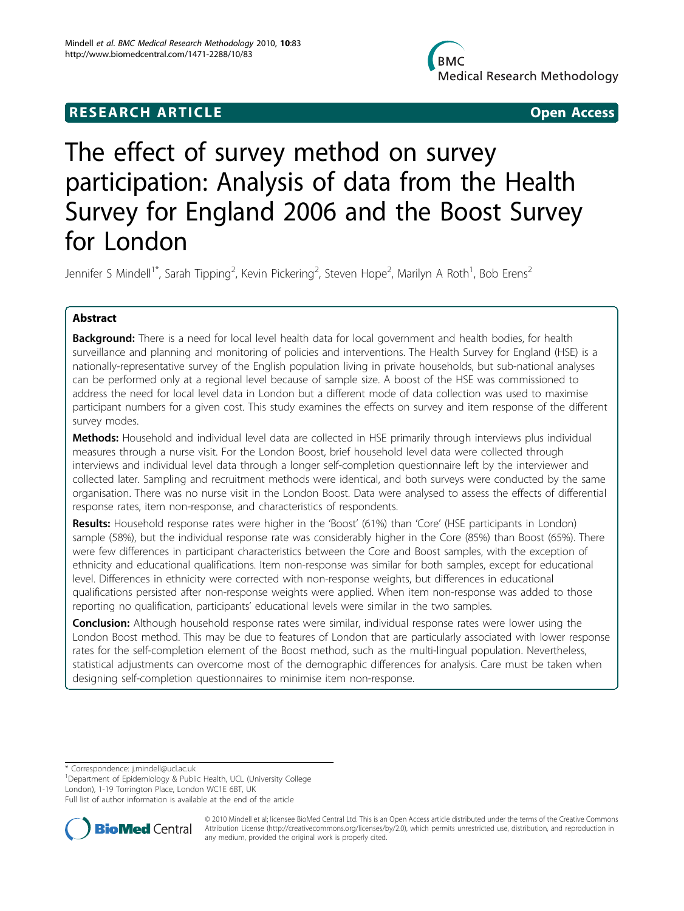## **RESEARCH ARTICLE Example 2014 CONSUMING ACCESS**

# The effect of survey method on survey participation: Analysis of data from the Health Survey for England 2006 and the Boost Survey for London

Jennifer S Mindell<sup>1\*</sup>, Sarah Tipping<sup>2</sup>, Kevin Pickering<sup>2</sup>, Steven Hope<sup>2</sup>, Marilyn A Roth<sup>1</sup>, Bob Erens<sup>2</sup>

## Abstract

**Background:** There is a need for local level health data for local government and health bodies, for health surveillance and planning and monitoring of policies and interventions. The Health Survey for England (HSE) is a nationally-representative survey of the English population living in private households, but sub-national analyses can be performed only at a regional level because of sample size. A boost of the HSE was commissioned to address the need for local level data in London but a different mode of data collection was used to maximise participant numbers for a given cost. This study examines the effects on survey and item response of the different survey modes.

Methods: Household and individual level data are collected in HSE primarily through interviews plus individual measures through a nurse visit. For the London Boost, brief household level data were collected through interviews and individual level data through a longer self-completion questionnaire left by the interviewer and collected later. Sampling and recruitment methods were identical, and both surveys were conducted by the same organisation. There was no nurse visit in the London Boost. Data were analysed to assess the effects of differential response rates, item non-response, and characteristics of respondents.

Results: Household response rates were higher in the 'Boost' (61%) than 'Core' (HSE participants in London) sample (58%), but the individual response rate was considerably higher in the Core (85%) than Boost (65%). There were few differences in participant characteristics between the Core and Boost samples, with the exception of ethnicity and educational qualifications. Item non-response was similar for both samples, except for educational level. Differences in ethnicity were corrected with non-response weights, but differences in educational qualifications persisted after non-response weights were applied. When item non-response was added to those reporting no qualification, participants' educational levels were similar in the two samples.

**Conclusion:** Although household response rates were similar, individual response rates were lower using the London Boost method. This may be due to features of London that are particularly associated with lower response rates for the self-completion element of the Boost method, such as the multi-lingual population. Nevertheless, statistical adjustments can overcome most of the demographic differences for analysis. Care must be taken when designing self-completion questionnaires to minimise item non-response.

\* Correspondence: [j.mindell@ucl.ac.uk](mailto:j.mindell@ucl.ac.uk)

<sup>1</sup>Department of Epidemiology & Public Health, UCL (University College London), 1-19 Torrington Place, London WC1E 6BT, UK

Full list of author information is available at the end of the article



© 2010 Mindell et al; licensee BioMed Central Ltd. This is an Open Access article distributed under the terms of the Creative Commons Attribution License [\(http://creativecommons.org/licenses/by/2.0](http://creativecommons.org/licenses/by/2.0)), which permits unrestricted use, distribution, and reproduction in any medium, provided the original work is properly cited.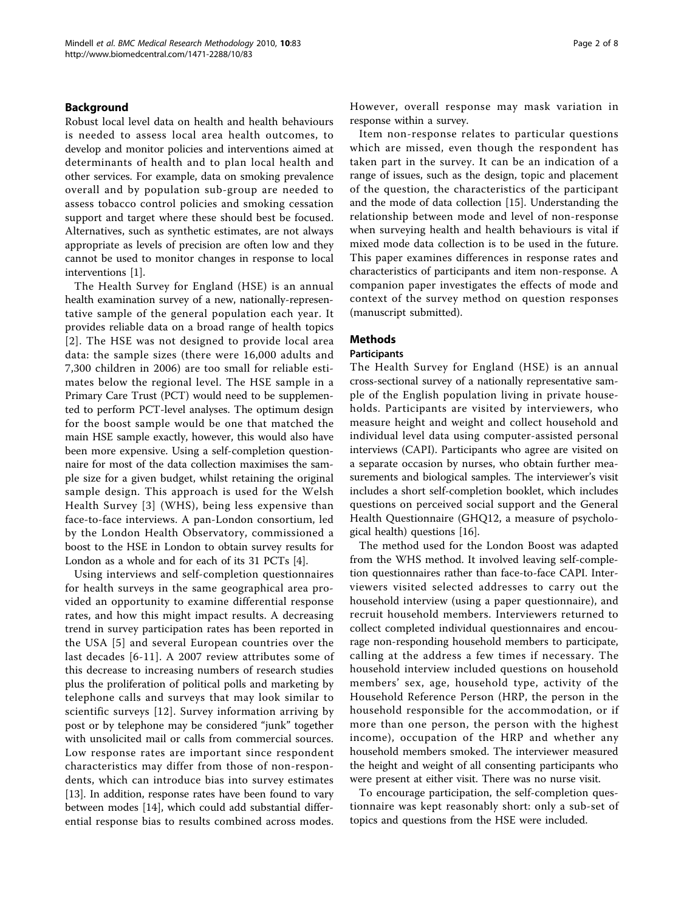## Background

Robust local level data on health and health behaviours is needed to assess local area health outcomes, to develop and monitor policies and interventions aimed at determinants of health and to plan local health and other services. For example, data on smoking prevalence overall and by population sub-group are needed to assess tobacco control policies and smoking cessation support and target where these should best be focused. Alternatives, such as synthetic estimates, are not always appropriate as levels of precision are often low and they cannot be used to monitor changes in response to local interventions [\[1](#page-7-0)].

The Health Survey for England (HSE) is an annual health examination survey of a new, nationally-representative sample of the general population each year. It provides reliable data on a broad range of health topics [[2](#page-7-0)]. The HSE was not designed to provide local area data: the sample sizes (there were 16,000 adults and 7,300 children in 2006) are too small for reliable estimates below the regional level. The HSE sample in a Primary Care Trust (PCT) would need to be supplemented to perform PCT-level analyses. The optimum design for the boost sample would be one that matched the main HSE sample exactly, however, this would also have been more expensive. Using a self-completion questionnaire for most of the data collection maximises the sample size for a given budget, whilst retaining the original sample design. This approach is used for the Welsh Health Survey [[3](#page-7-0)] (WHS), being less expensive than face-to-face interviews. A pan-London consortium, led by the London Health Observatory, commissioned a boost to the HSE in London to obtain survey results for London as a whole and for each of its 31 PCTs [\[4](#page-7-0)].

Using interviews and self-completion questionnaires for health surveys in the same geographical area provided an opportunity to examine differential response rates, and how this might impact results. A decreasing trend in survey participation rates has been reported in the USA [[5](#page-7-0)] and several European countries over the last decades [[6](#page-7-0)-[11](#page-7-0)]. A 2007 review attributes some of this decrease to increasing numbers of research studies plus the proliferation of political polls and marketing by telephone calls and surveys that may look similar to scientific surveys [\[12\]](#page-7-0). Survey information arriving by post or by telephone may be considered "junk" together with unsolicited mail or calls from commercial sources. Low response rates are important since respondent characteristics may differ from those of non-respondents, which can introduce bias into survey estimates [[13\]](#page-7-0). In addition, response rates have been found to vary between modes [\[14](#page-7-0)], which could add substantial differential response bias to results combined across modes. However, overall response may mask variation in response within a survey.

Item non-response relates to particular questions which are missed, even though the respondent has taken part in the survey. It can be an indication of a range of issues, such as the design, topic and placement of the question, the characteristics of the participant and the mode of data collection [\[15](#page-7-0)]. Understanding the relationship between mode and level of non-response when surveying health and health behaviours is vital if mixed mode data collection is to be used in the future. This paper examines differences in response rates and characteristics of participants and item non-response. A companion paper investigates the effects of mode and context of the survey method on question responses (manuscript submitted).

#### Methods

#### Participants

The Health Survey for England (HSE) is an annual cross-sectional survey of a nationally representative sample of the English population living in private households. Participants are visited by interviewers, who measure height and weight and collect household and individual level data using computer-assisted personal interviews (CAPI). Participants who agree are visited on a separate occasion by nurses, who obtain further measurements and biological samples. The interviewer's visit includes a short self-completion booklet, which includes questions on perceived social support and the General Health Questionnaire (GHQ12, a measure of psychological health) questions [[16\]](#page-7-0).

The method used for the London Boost was adapted from the WHS method. It involved leaving self-completion questionnaires rather than face-to-face CAPI. Interviewers visited selected addresses to carry out the household interview (using a paper questionnaire), and recruit household members. Interviewers returned to collect completed individual questionnaires and encourage non-responding household members to participate, calling at the address a few times if necessary. The household interview included questions on household members' sex, age, household type, activity of the Household Reference Person (HRP, the person in the household responsible for the accommodation, or if more than one person, the person with the highest income), occupation of the HRP and whether any household members smoked. The interviewer measured the height and weight of all consenting participants who were present at either visit. There was no nurse visit.

To encourage participation, the self-completion questionnaire was kept reasonably short: only a sub-set of topics and questions from the HSE were included.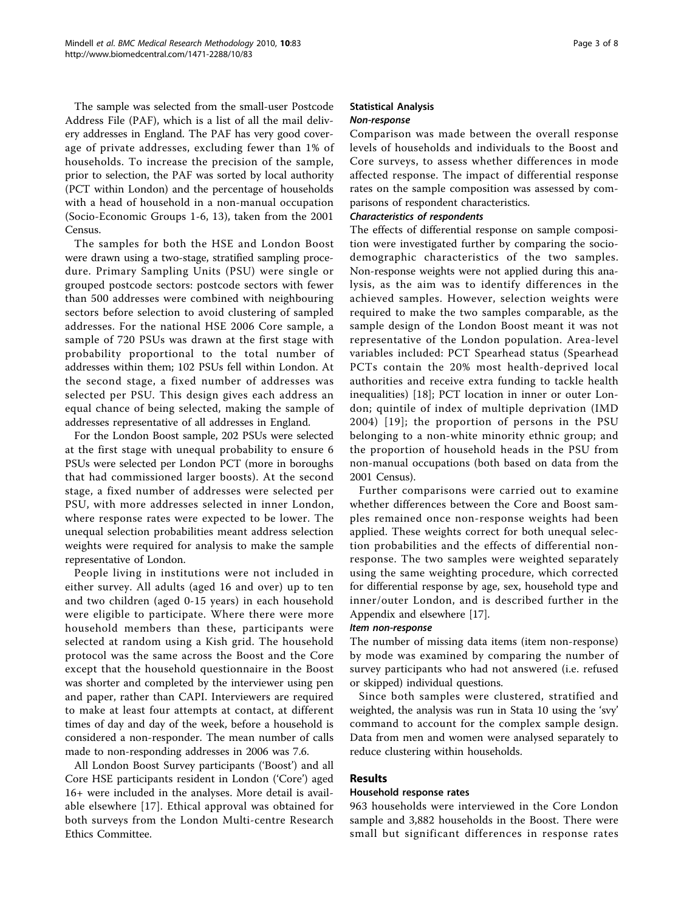The sample was selected from the small-user Postcode Address File (PAF), which is a list of all the mail delivery addresses in England. The PAF has very good coverage of private addresses, excluding fewer than 1% of households. To increase the precision of the sample, prior to selection, the PAF was sorted by local authority (PCT within London) and the percentage of households with a head of household in a non-manual occupation (Socio-Economic Groups 1-6, 13), taken from the 2001 Census.

The samples for both the HSE and London Boost were drawn using a two-stage, stratified sampling procedure. Primary Sampling Units (PSU) were single or grouped postcode sectors: postcode sectors with fewer than 500 addresses were combined with neighbouring sectors before selection to avoid clustering of sampled addresses. For the national HSE 2006 Core sample, a sample of 720 PSUs was drawn at the first stage with probability proportional to the total number of addresses within them; 102 PSUs fell within London. At the second stage, a fixed number of addresses was selected per PSU. This design gives each address an equal chance of being selected, making the sample of addresses representative of all addresses in England.

For the London Boost sample, 202 PSUs were selected at the first stage with unequal probability to ensure 6 PSUs were selected per London PCT (more in boroughs that had commissioned larger boosts). At the second stage, a fixed number of addresses were selected per PSU, with more addresses selected in inner London, where response rates were expected to be lower. The unequal selection probabilities meant address selection weights were required for analysis to make the sample representative of London.

People living in institutions were not included in either survey. All adults (aged 16 and over) up to ten and two children (aged 0-15 years) in each household were eligible to participate. Where there were more household members than these, participants were selected at random using a Kish grid. The household protocol was the same across the Boost and the Core except that the household questionnaire in the Boost was shorter and completed by the interviewer using pen and paper, rather than CAPI. Interviewers are required to make at least four attempts at contact, at different times of day and day of the week, before a household is considered a non-responder. The mean number of calls made to non-responding addresses in 2006 was 7.6.

All London Boost Survey participants ('Boost') and all Core HSE participants resident in London ('Core') aged 16+ were included in the analyses. More detail is available elsewhere [[17](#page-7-0)]. Ethical approval was obtained for both surveys from the London Multi-centre Research Ethics Committee.

## Statistical Analysis Non-response

Comparison was made between the overall response levels of households and individuals to the Boost and Core surveys, to assess whether differences in mode affected response. The impact of differential response rates on the sample composition was assessed by comparisons of respondent characteristics.

## Characteristics of respondents

The effects of differential response on sample composition were investigated further by comparing the sociodemographic characteristics of the two samples. Non-response weights were not applied during this analysis, as the aim was to identify differences in the achieved samples. However, selection weights were required to make the two samples comparable, as the sample design of the London Boost meant it was not representative of the London population. Area-level variables included: PCT Spearhead status (Spearhead PCTs contain the 20% most health-deprived local authorities and receive extra funding to tackle health inequalities) [[18](#page-7-0)]; PCT location in inner or outer London; quintile of index of multiple deprivation (IMD 2004) [[19](#page-7-0)]; the proportion of persons in the PSU belonging to a non-white minority ethnic group; and the proportion of household heads in the PSU from non-manual occupations (both based on data from the 2001 Census).

Further comparisons were carried out to examine whether differences between the Core and Boost samples remained once non-response weights had been applied. These weights correct for both unequal selection probabilities and the effects of differential nonresponse. The two samples were weighted separately using the same weighting procedure, which corrected for differential response by age, sex, household type and inner/outer London, and is described further in the Appendix and elsewhere [[17](#page-7-0)].

## Item non-response

The number of missing data items (item non-response) by mode was examined by comparing the number of survey participants who had not answered (i.e. refused or skipped) individual questions.

Since both samples were clustered, stratified and weighted, the analysis was run in Stata 10 using the 'svy' command to account for the complex sample design. Data from men and women were analysed separately to reduce clustering within households.

## Results

## Household response rates

963 households were interviewed in the Core London sample and 3,882 households in the Boost. There were small but significant differences in response rates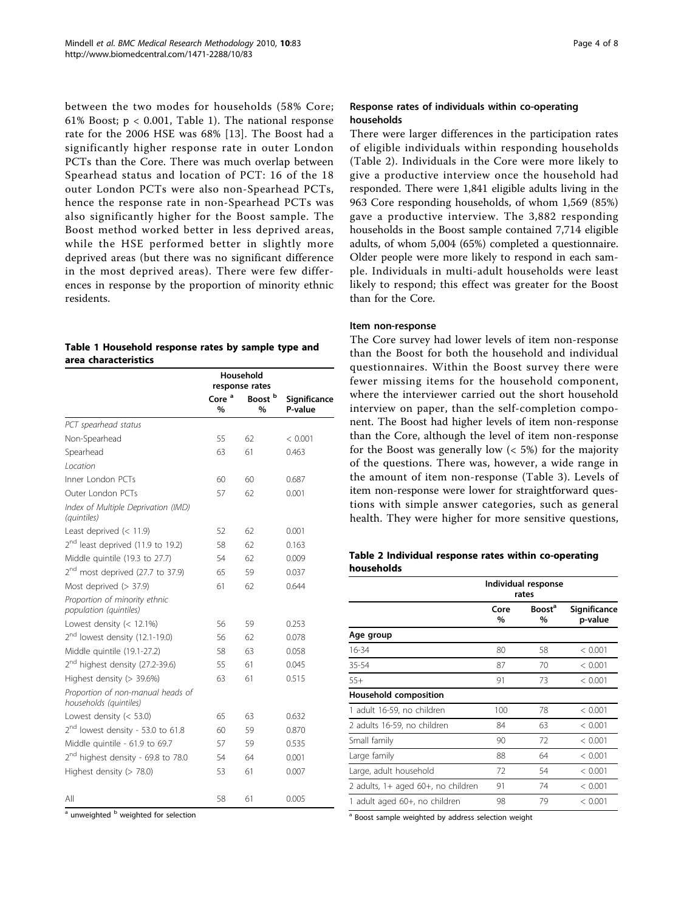between the two modes for households (58% Core; 61% Boost;  $p < 0.001$ , Table 1). The national response rate for the 2006 HSE was 68% [\[13\]](#page-7-0). The Boost had a significantly higher response rate in outer London PCTs than the Core. There was much overlap between Spearhead status and location of PCT: 16 of the 18 outer London PCTs were also non-Spearhead PCTs, hence the response rate in non-Spearhead PCTs was also significantly higher for the Boost sample. The Boost method worked better in less deprived areas, while the HSE performed better in slightly more deprived areas (but there was no significant difference in the most deprived areas). There were few differences in response by the proportion of minority ethnic residents.

## Table 1 Household response rates by sample type and area characteristics

|                                                             |                                    | Household<br>response rates         |                         |
|-------------------------------------------------------------|------------------------------------|-------------------------------------|-------------------------|
|                                                             | Core <sup>a</sup><br>$\frac{0}{0}$ | Boost <sup>b</sup><br>$\frac{0}{0}$ | Significance<br>P-value |
| PCT spearhead status                                        |                                    |                                     |                         |
| Non-Spearhead                                               | 55                                 | 62                                  | < 0.001                 |
| Spearhead                                                   | 63                                 | 61                                  | 0.463                   |
| <i><u><b>I</b>ocation</u></i>                               |                                    |                                     |                         |
| Inner London PCTs                                           | 60                                 | 60                                  | 0.687                   |
| Outer London PCTs                                           | 57                                 | 62                                  | 0.001                   |
| Index of Multiple Deprivation (IMD)<br>(quintiles)          |                                    |                                     |                         |
| Least deprived (< 11.9)                                     | 52                                 | 62                                  | 0.001                   |
| 2 <sup>nd</sup> least deprived (11.9 to 19.2)               | 58                                 | 62                                  | 0.163                   |
| Middle quintile (19.3 to 27.7)                              | 54                                 | 62                                  | 0.009                   |
| 2 <sup>nd</sup> most deprived (27.7 to 37.9)                | 65                                 | 59                                  | 0.037                   |
| Most deprived $(> 37.9)$                                    | 61                                 | 62                                  | 0.644                   |
| Proportion of minority ethnic<br>population (quintiles)     |                                    |                                     |                         |
| Lowest density $(< 12.1\%)$                                 | 56                                 | 59                                  | 0.253                   |
| 2 <sup>nd</sup> lowest density (12.1-19.0)                  | 56                                 | 62                                  | 0.078                   |
| Middle quintile (19.1-27.2)                                 | 58                                 | 63                                  | 0.058                   |
| 2 <sup>nd</sup> highest density (27.2-39.6)                 | 55                                 | 61                                  | 0.045                   |
| Highest density (> 39.6%)                                   | 63                                 | 61                                  | 0.515                   |
| Proportion of non-manual heads of<br>households (quintiles) |                                    |                                     |                         |
| Lowest density $(< 53.0)$                                   | 65                                 | 63                                  | 0.632                   |
| 2 <sup>nd</sup> lowest density - 53.0 to 61.8               | 60                                 | 59                                  | 0.870                   |
| Middle quintile - 61.9 to 69.7                              | 57                                 | 59                                  | 0.535                   |
| 2 <sup>nd</sup> highest density - 69.8 to 78.0              | 54                                 | 64                                  | 0.001                   |
| Highest density (> 78.0)                                    | 53                                 | 61                                  | 0.007                   |
| All                                                         | 58                                 | 61                                  | 0.005                   |

<sup>a</sup> unweighted <sup>b</sup> weighted for selection

## Response rates of individuals within co-operating households

There were larger differences in the participation rates of eligible individuals within responding households (Table 2). Individuals in the Core were more likely to give a productive interview once the household had responded. There were 1,841 eligible adults living in the 963 Core responding households, of whom 1,569 (85%) gave a productive interview. The 3,882 responding households in the Boost sample contained 7,714 eligible adults, of whom 5,004 (65%) completed a questionnaire. Older people were more likely to respond in each sample. Individuals in multi-adult households were least likely to respond; this effect was greater for the Boost than for the Core.

## Item non-response

The Core survey had lower levels of item non-response than the Boost for both the household and individual questionnaires. Within the Boost survey there were fewer missing items for the household component, where the interviewer carried out the short household interview on paper, than the self-completion component. The Boost had higher levels of item non-response than the Core, although the level of item non-response for the Boost was generally low  $\left($  < 5%) for the majority of the questions. There was, however, a wide range in the amount of item non-response (Table [3\)](#page-4-0). Levels of item non-response were lower for straightforward questions with simple answer categories, such as general health. They were higher for more sensitive questions,

## Table 2 Individual response rates within co-operating households

|                                    |           | Individual response<br>rates  |                         |
|------------------------------------|-----------|-------------------------------|-------------------------|
|                                    | Core<br>% | <b>Boost<sup>a</sup></b><br>% | Significance<br>p-value |
| Age group                          |           |                               |                         |
| $16 - 34$                          | 80        | 58                            | < 0.001                 |
| 35-54                              | 87        | 70                            | < 0.001                 |
| $55+$                              | 91        | 73                            | < 0.001                 |
| <b>Household composition</b>       |           |                               |                         |
| 1 adult 16-59, no children         | 100       | 78                            | < 0.001                 |
| 2 adults 16-59, no children        | 84        | 63                            | < 0.001                 |
| Small family                       | 90        | 72                            | < 0.001                 |
| Large family                       | 88        | 64                            | < 0.001                 |
| Large, adult household             | 72        | 54                            | < 0.001                 |
| 2 adults, 1+ aged 60+, no children | 91        | 74                            | < 0.001                 |
| 1 adult aged 60+, no children      | 98        | 79                            | < 0.001                 |

<sup>a</sup> Boost sample weighted by address selection weight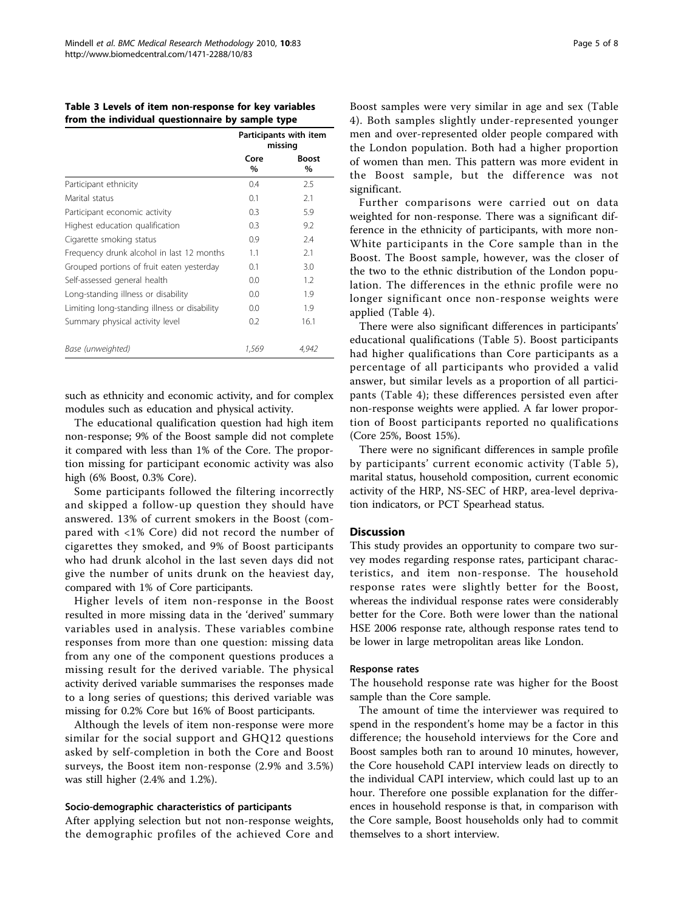<span id="page-4-0"></span>Table 3 Levels of item non-response for key variables from the individual questionnaire by sample type

|                                              | Participants with item<br>missing |                      |  |
|----------------------------------------------|-----------------------------------|----------------------|--|
|                                              | Core<br>$\%$                      | <b>Boost</b><br>$\%$ |  |
| Participant ethnicity                        | 0.4                               | 2.5                  |  |
| Marital status                               | 0.1                               | 2.1                  |  |
| Participant economic activity                | 0.3                               | 5.9                  |  |
| Highest education qualification              | 0.3                               | 9.2                  |  |
| Cigarette smoking status                     | 0.9                               | 2.4                  |  |
| Frequency drunk alcohol in last 12 months    | 1.1                               | 2.1                  |  |
| Grouped portions of fruit eaten yesterday    | 0.1                               | 3.0                  |  |
| Self-assessed general health                 | 0.0                               | 12                   |  |
| Long-standing illness or disability          | 0.0                               | 1.9                  |  |
| Limiting long-standing illness or disability | 0.0                               | 1.9                  |  |
| Summary physical activity level              | 0.2                               | 16.1                 |  |
| Base (unweighted)                            | 1,569                             | 4.942                |  |

such as ethnicity and economic activity, and for complex modules such as education and physical activity.

The educational qualification question had high item non-response; 9% of the Boost sample did not complete it compared with less than 1% of the Core. The proportion missing for participant economic activity was also high (6% Boost, 0.3% Core).

Some participants followed the filtering incorrectly and skipped a follow-up question they should have answered. 13% of current smokers in the Boost (compared with <1% Core) did not record the number of cigarettes they smoked, and 9% of Boost participants who had drunk alcohol in the last seven days did not give the number of units drunk on the heaviest day, compared with 1% of Core participants.

Higher levels of item non-response in the Boost resulted in more missing data in the 'derived' summary variables used in analysis. These variables combine responses from more than one question: missing data from any one of the component questions produces a missing result for the derived variable. The physical activity derived variable summarises the responses made to a long series of questions; this derived variable was missing for 0.2% Core but 16% of Boost participants.

Although the levels of item non-response were more similar for the social support and GHQ12 questions asked by self-completion in both the Core and Boost surveys, the Boost item non-response (2.9% and 3.5%) was still higher (2.4% and 1.2%).

## Socio-demographic characteristics of participants

After applying selection but not non-response weights, the demographic profiles of the achieved Core and

Boost samples were very similar in age and sex (Table [4\)](#page-5-0). Both samples slightly under-represented younger men and over-represented older people compared with the London population. Both had a higher proportion of women than men. This pattern was more evident in the Boost sample, but the difference was not significant.

Further comparisons were carried out on data weighted for non-response. There was a significant difference in the ethnicity of participants, with more non-White participants in the Core sample than in the Boost. The Boost sample, however, was the closer of the two to the ethnic distribution of the London population. The differences in the ethnic profile were no longer significant once non-response weights were applied (Table [4](#page-5-0)).

There were also significant differences in participants' educational qualifications (Table [5\)](#page-5-0). Boost participants had higher qualifications than Core participants as a percentage of all participants who provided a valid answer, but similar levels as a proportion of all participants (Table [4](#page-5-0)); these differences persisted even after non-response weights were applied. A far lower proportion of Boost participants reported no qualifications (Core 25%, Boost 15%).

There were no significant differences in sample profile by participants' current economic activity (Table [5\)](#page-5-0), marital status, household composition, current economic activity of the HRP, NS-SEC of HRP, area-level deprivation indicators, or PCT Spearhead status.

## **Discussion**

This study provides an opportunity to compare two survey modes regarding response rates, participant characteristics, and item non-response. The household response rates were slightly better for the Boost, whereas the individual response rates were considerably better for the Core. Both were lower than the national HSE 2006 response rate, although response rates tend to be lower in large metropolitan areas like London.

#### Response rates

The household response rate was higher for the Boost sample than the Core sample.

The amount of time the interviewer was required to spend in the respondent's home may be a factor in this difference; the household interviews for the Core and Boost samples both ran to around 10 minutes, however, the Core household CAPI interview leads on directly to the individual CAPI interview, which could last up to an hour. Therefore one possible explanation for the differences in household response is that, in comparison with the Core sample, Boost households only had to commit themselves to a short interview.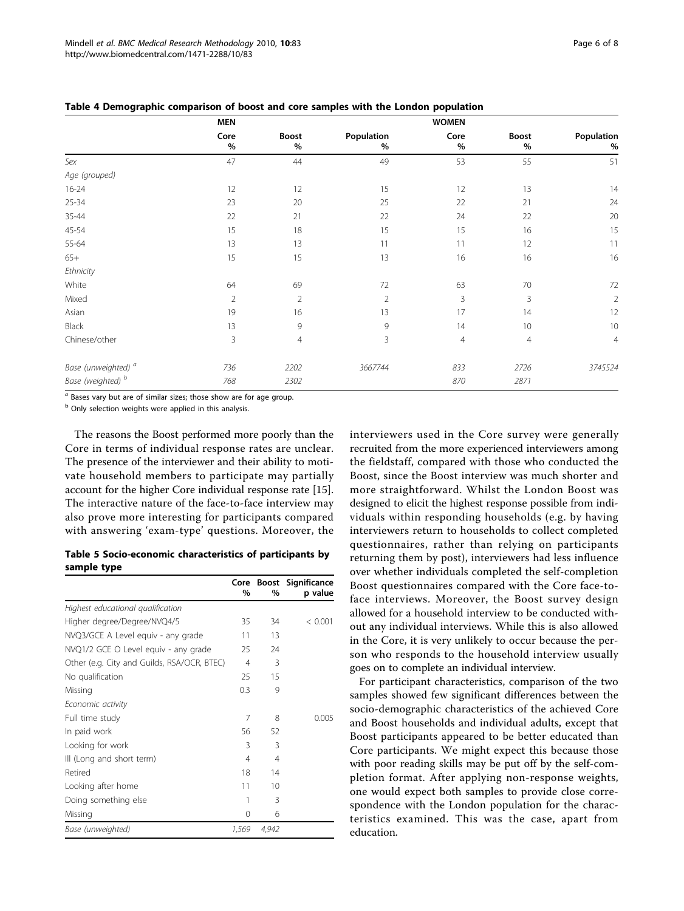|                                | <b>MEN</b>     |                | <b>WOMEN</b>       |                |                |                    |
|--------------------------------|----------------|----------------|--------------------|----------------|----------------|--------------------|
|                                | Core<br>$\%$   | Boost<br>%     | Population<br>$\%$ | Core<br>$\%$   | Boost<br>%     | Population<br>$\%$ |
| Sex                            | 47             | 44             | 49                 | 53             | 55             | 51                 |
| Age (grouped)                  |                |                |                    |                |                |                    |
| $16 - 24$                      | 12             | 12             | 15                 | 12             | 13             | 14                 |
| $25 - 34$                      | 23             | 20             | 25                 | 22             | 21             | 24                 |
| 35-44                          | 22             | 21             | 22                 | 24             | 22             | 20                 |
| 45-54                          | 15             | 18             | 15                 | 15             | 16             | 15                 |
| 55-64                          | 13             | 13             | 11                 | 11             | 12             | 11                 |
| $65+$                          | 15             | 15             | 13                 | 16             | 16             | 16                 |
| Ethnicity                      |                |                |                    |                |                |                    |
| White                          | 64             | 69             | 72                 | 63             | 70             | 72                 |
| Mixed                          | $\overline{2}$ | $\overline{2}$ | $\overline{2}$     | 3              | 3              | $\overline{2}$     |
| Asian                          | 19             | 16             | 13                 | 17             | 14             | 12                 |
| Black                          | 13             | 9              | 9                  | 14             | 10             | 10                 |
| Chinese/other                  | 3              | 4              | 3                  | $\overline{4}$ | $\overline{4}$ | $\overline{4}$     |
| Base (unweighted) <sup>a</sup> | 736            | 2202           | 3667744            | 833            | 2726           | 3745524            |
| Base (weighted) b              | 768            | 2302           |                    | 870            | 2871           |                    |

<span id="page-5-0"></span>Table 4 Demographic comparison of boost and core samples with the London population

 $a$  Bases vary but are of similar sizes; those show are for age group.

<sup>b</sup> Only selection weights were applied in this analysis.

The reasons the Boost performed more poorly than the Core in terms of individual response rates are unclear. The presence of the interviewer and their ability to motivate household members to participate may partially account for the higher Core individual response rate [\[15](#page-7-0)]. The interactive nature of the face-to-face interview may also prove more interesting for participants compared with answering 'exam-type' questions. Moreover, the

Table 5 Socio-economic characteristics of participants by sample type

|                                             | Core<br>$\%$   | %     | Boost Significance<br>p value |
|---------------------------------------------|----------------|-------|-------------------------------|
| Highest educational qualification           |                |       |                               |
| Higher degree/Degree/NVQ4/5                 | 35             | 34    | < 0.001                       |
| NVQ3/GCE A Level equiv - any grade          | 11             | 13    |                               |
| NVQ1/2 GCE O Level equiv - any grade        | 25             | 24    |                               |
| Other (e.g. City and Guilds, RSA/OCR, BTEC) | $\overline{4}$ | 3     |                               |
| No qualification                            | 25             | 15    |                               |
| Missing                                     | 0.3            | 9     |                               |
| Economic activity                           |                |       |                               |
| Full time study                             | 7              | 8     | 0.005                         |
| In paid work                                | 56             | 52    |                               |
| Looking for work                            | 3              | 3     |                               |
| III (Long and short term)                   | 4              | 4     |                               |
| Retired                                     | 18             | 14    |                               |
| Looking after home                          | 11             | 10    |                               |
| Doing something else                        | 1              | 3     |                               |
| Missing                                     | 0              | 6     |                               |
| Base (unweighted)                           | 1,569          | 4.942 |                               |

interviewers used in the Core survey were generally recruited from the more experienced interviewers among the fieldstaff, compared with those who conducted the Boost, since the Boost interview was much shorter and more straightforward. Whilst the London Boost was designed to elicit the highest response possible from individuals within responding households (e.g. by having interviewers return to households to collect completed questionnaires, rather than relying on participants returning them by post), interviewers had less influence over whether individuals completed the self-completion Boost questionnaires compared with the Core face-toface interviews. Moreover, the Boost survey design allowed for a household interview to be conducted without any individual interviews. While this is also allowed in the Core, it is very unlikely to occur because the person who responds to the household interview usually goes on to complete an individual interview.

For participant characteristics, comparison of the two samples showed few significant differences between the socio-demographic characteristics of the achieved Core and Boost households and individual adults, except that Boost participants appeared to be better educated than Core participants. We might expect this because those with poor reading skills may be put off by the self-completion format. After applying non-response weights, one would expect both samples to provide close correspondence with the London population for the characteristics examined. This was the case, apart from education.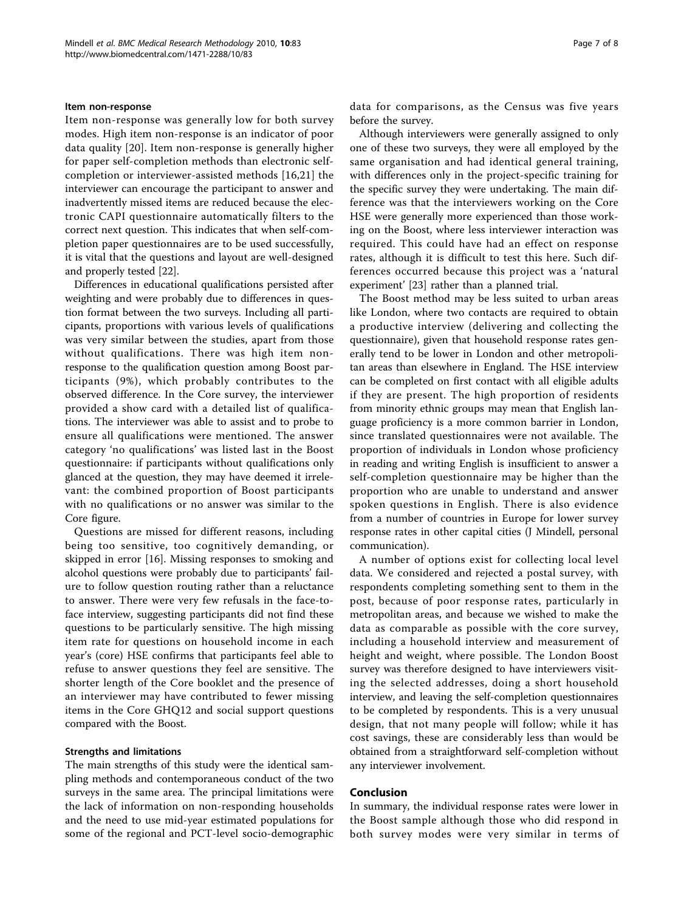#### Item non-response

Item non-response was generally low for both survey modes. High item non-response is an indicator of poor data quality [\[20](#page-7-0)]. Item non-response is generally higher for paper self-completion methods than electronic selfcompletion or interviewer-assisted methods [\[16,21](#page-7-0)] the interviewer can encourage the participant to answer and inadvertently missed items are reduced because the electronic CAPI questionnaire automatically filters to the correct next question. This indicates that when self-completion paper questionnaires are to be used successfully, it is vital that the questions and layout are well-designed and properly tested [\[22\]](#page-7-0).

Differences in educational qualifications persisted after weighting and were probably due to differences in question format between the two surveys. Including all participants, proportions with various levels of qualifications was very similar between the studies, apart from those without qualifications. There was high item nonresponse to the qualification question among Boost participants (9%), which probably contributes to the observed difference. In the Core survey, the interviewer provided a show card with a detailed list of qualifications. The interviewer was able to assist and to probe to ensure all qualifications were mentioned. The answer category 'no qualifications' was listed last in the Boost questionnaire: if participants without qualifications only glanced at the question, they may have deemed it irrelevant: the combined proportion of Boost participants with no qualifications or no answer was similar to the Core figure.

Questions are missed for different reasons, including being too sensitive, too cognitively demanding, or skipped in error [[16](#page-7-0)]. Missing responses to smoking and alcohol questions were probably due to participants' failure to follow question routing rather than a reluctance to answer. There were very few refusals in the face-toface interview, suggesting participants did not find these questions to be particularly sensitive. The high missing item rate for questions on household income in each year's (core) HSE confirms that participants feel able to refuse to answer questions they feel are sensitive. The shorter length of the Core booklet and the presence of an interviewer may have contributed to fewer missing items in the Core GHQ12 and social support questions compared with the Boost.

#### Strengths and limitations

The main strengths of this study were the identical sampling methods and contemporaneous conduct of the two surveys in the same area. The principal limitations were the lack of information on non-responding households and the need to use mid-year estimated populations for some of the regional and PCT-level socio-demographic data for comparisons, as the Census was five years before the survey.

Although interviewers were generally assigned to only one of these two surveys, they were all employed by the same organisation and had identical general training, with differences only in the project-specific training for the specific survey they were undertaking. The main difference was that the interviewers working on the Core HSE were generally more experienced than those working on the Boost, where less interviewer interaction was required. This could have had an effect on response rates, although it is difficult to test this here. Such differences occurred because this project was a 'natural experiment' [\[23\]](#page-7-0) rather than a planned trial.

The Boost method may be less suited to urban areas like London, where two contacts are required to obtain a productive interview (delivering and collecting the questionnaire), given that household response rates generally tend to be lower in London and other metropolitan areas than elsewhere in England. The HSE interview can be completed on first contact with all eligible adults if they are present. The high proportion of residents from minority ethnic groups may mean that English language proficiency is a more common barrier in London, since translated questionnaires were not available. The proportion of individuals in London whose proficiency in reading and writing English is insufficient to answer a self-completion questionnaire may be higher than the proportion who are unable to understand and answer spoken questions in English. There is also evidence from a number of countries in Europe for lower survey response rates in other capital cities (J Mindell, personal communication).

A number of options exist for collecting local level data. We considered and rejected a postal survey, with respondents completing something sent to them in the post, because of poor response rates, particularly in metropolitan areas, and because we wished to make the data as comparable as possible with the core survey, including a household interview and measurement of height and weight, where possible. The London Boost survey was therefore designed to have interviewers visiting the selected addresses, doing a short household interview, and leaving the self-completion questionnaires to be completed by respondents. This is a very unusual design, that not many people will follow; while it has cost savings, these are considerably less than would be obtained from a straightforward self-completion without any interviewer involvement.

## Conclusion

In summary, the individual response rates were lower in the Boost sample although those who did respond in both survey modes were very similar in terms of